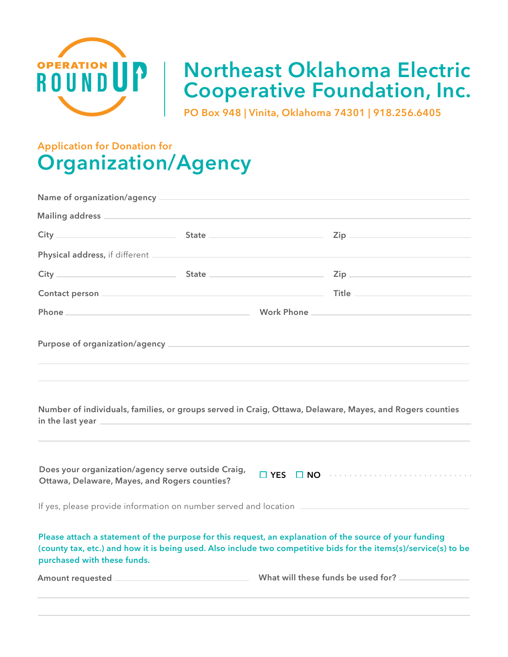

## **Northeast Oklahoma Electric Cooperative Foundation, Inc.**

**PO Box 948 | Vinita, Oklahoma 74301 | 918.256.6405**

## **Application for Donation for Organization/Agency**

| $\mathsf{Zip} \hspace{0.5cm} \longrightarrow$<br>Phone Phone<br>Work Phone 2008 2009 2012 2023 2024 2025 2026 2027 2028 2029 2020 2021 2022 2023 2024 2022 2023 2024 2025 2026<br>Number of individuals, families, or groups served in Craig, Ottawa, Delaware, Mayes, and Rogers counties<br>in the last year <b>container the last year</b><br>Does your organization/agency serve outside Craig,<br>□ YES □ NO …………………………………<br>Ottawa, Delaware, Mayes, and Rogers counties?<br>If yes, please provide information on number served and location [1986] [1988] Header and Location [1988] [198<br>Please attach a statement of the purpose for this request, an explanation of the source of your funding<br>(county tax, etc.) and how it is being used. Also include two competitive bids for the items(s)/service(s) to be<br>purchased with these funds. |  |  |  |  |
|------------------------------------------------------------------------------------------------------------------------------------------------------------------------------------------------------------------------------------------------------------------------------------------------------------------------------------------------------------------------------------------------------------------------------------------------------------------------------------------------------------------------------------------------------------------------------------------------------------------------------------------------------------------------------------------------------------------------------------------------------------------------------------------------------------------------------------------------------------------|--|--|--|--|
|                                                                                                                                                                                                                                                                                                                                                                                                                                                                                                                                                                                                                                                                                                                                                                                                                                                                  |  |  |  |  |
|                                                                                                                                                                                                                                                                                                                                                                                                                                                                                                                                                                                                                                                                                                                                                                                                                                                                  |  |  |  |  |
|                                                                                                                                                                                                                                                                                                                                                                                                                                                                                                                                                                                                                                                                                                                                                                                                                                                                  |  |  |  |  |
|                                                                                                                                                                                                                                                                                                                                                                                                                                                                                                                                                                                                                                                                                                                                                                                                                                                                  |  |  |  |  |
|                                                                                                                                                                                                                                                                                                                                                                                                                                                                                                                                                                                                                                                                                                                                                                                                                                                                  |  |  |  |  |
|                                                                                                                                                                                                                                                                                                                                                                                                                                                                                                                                                                                                                                                                                                                                                                                                                                                                  |  |  |  |  |
|                                                                                                                                                                                                                                                                                                                                                                                                                                                                                                                                                                                                                                                                                                                                                                                                                                                                  |  |  |  |  |
|                                                                                                                                                                                                                                                                                                                                                                                                                                                                                                                                                                                                                                                                                                                                                                                                                                                                  |  |  |  |  |
|                                                                                                                                                                                                                                                                                                                                                                                                                                                                                                                                                                                                                                                                                                                                                                                                                                                                  |  |  |  |  |
|                                                                                                                                                                                                                                                                                                                                                                                                                                                                                                                                                                                                                                                                                                                                                                                                                                                                  |  |  |  |  |
|                                                                                                                                                                                                                                                                                                                                                                                                                                                                                                                                                                                                                                                                                                                                                                                                                                                                  |  |  |  |  |
|                                                                                                                                                                                                                                                                                                                                                                                                                                                                                                                                                                                                                                                                                                                                                                                                                                                                  |  |  |  |  |
|                                                                                                                                                                                                                                                                                                                                                                                                                                                                                                                                                                                                                                                                                                                                                                                                                                                                  |  |  |  |  |
|                                                                                                                                                                                                                                                                                                                                                                                                                                                                                                                                                                                                                                                                                                                                                                                                                                                                  |  |  |  |  |
|                                                                                                                                                                                                                                                                                                                                                                                                                                                                                                                                                                                                                                                                                                                                                                                                                                                                  |  |  |  |  |